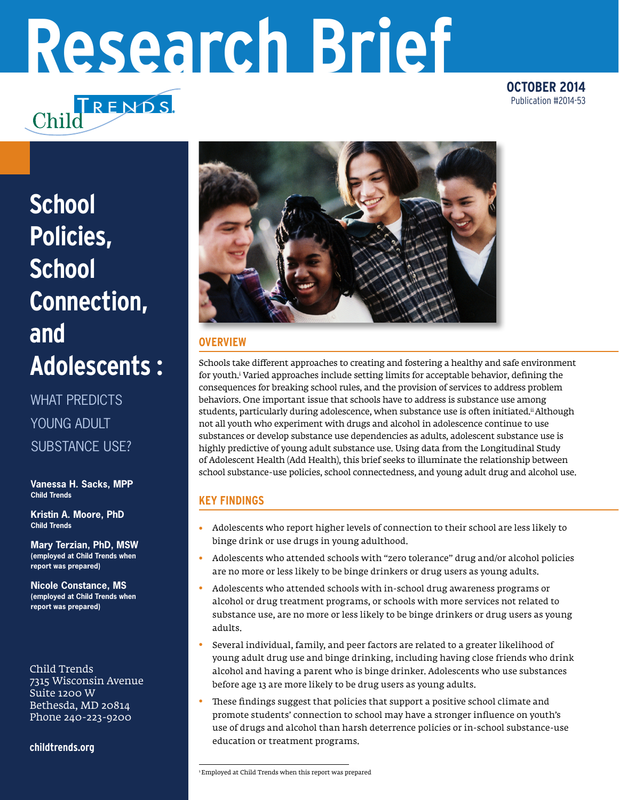# **Research Brief**

TRENDS. Chilc

**OCTOBER 2014** Publication #2014-53

# **School Policies, School Connection, and Adolescents :**

WHAT PREDICTS YOUNG ADULT SUBSTANCE USE?

**Vanessa H. Sacks, MPP Child Trends**

**Kristin A. Moore, PhD Child Trends**

**Mary Terzian, PhD, MSW (employed at Child Trends when report was prepared)**

**Nicole Constance, MS (employed at Child Trends when report was prepared)**

Child Trends 7315 Wisconsin Avenue Suite 1200 W Bethesda, MD 20814 Phone 240-223-9200

**childtrends.org**



# **OVERVIEW**

Schools take different approaches to creating and fostering a healthy and safe environment for youth.i Varied approaches include setting limits for acceptable behavior, defining the consequences for breaking school rules, and the provision of services to address problem behaviors. One important issue that schools have to address is substance use among students, particularly during adolescence, when substance use is often initiated.<sup>ii</sup> Although not all youth who experiment with drugs and alcohol in adolescence continue to use substances or develop substance use dependencies as adults, adolescent substance use is highly predictive of young adult substance use. Using data from the Longitudinal Study of Adolescent Health (Add Health), this brief seeks to illuminate the relationship between school substance-use policies, school connectedness, and young adult drug and alcohol use.

# **KEY FINDINGS**

- Adolescents who report higher levels of connection to their school are less likely to binge drink or use drugs in young adulthood. •
- Adolescents who attended schools with "zero tolerance" drug and/or alcohol policies are no more or less likely to be binge drinkers or drug users as young adults. •
- Adolescents who attended schools with in-school drug awareness programs or alcohol or drug treatment programs, or schools with more services not related to substance use, are no more or less likely to be binge drinkers or drug users as young adults. •
- Several individual, family, and peer factors are related to a greater likelihood of young adult drug use and binge drinking, including having close friends who drink alcohol and having a parent who is binge drinker. Adolescents who use substances before age 13 are more likely to be drug users as young adults. •
- These findings suggest that policies that support a positive school climate and promote students' connection to school may have a stronger influence on youth's use of drugs and alcohol than harsh deterrence policies or in-school substance-use education or treatment programs. •

<sup>1</sup> Employed at Child Trends when this report was prepared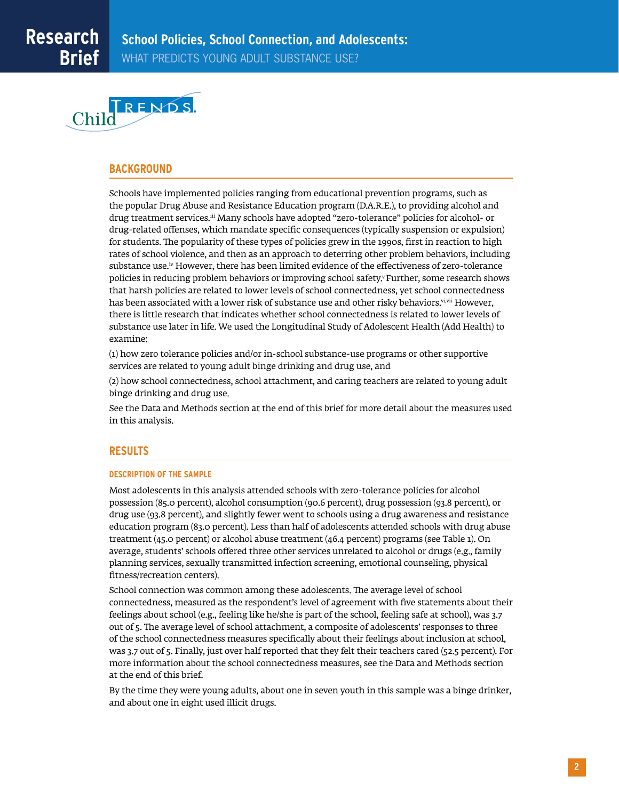

#### **BACKGROUND**

Schools have implemented policies ranging from educational prevention programs, such as the popular Drug Abuse and Resistance Education program (D.A.R.E.), to providing alcohol and drug treatment services.<sup>iii</sup> Many schools have adopted "zero-tolerance" policies for alcohol- or drug-related offenses, which mandate specific consequences (typically suspension or expulsion) for students. The popularity of these types of policies grew in the 1990s, first in reaction to high rates of school violence, and then as an approach to deterring other problem behaviors, including substance use.iv However, there has been limited evidence of the effectiveness of zero-tolerance policies in reducing problem behaviors or improving school safety.<sup>y</sup> Further, some research shows that harsh policies are related to lower levels of school connectedness, yet school connectedness has been associated with a lower risk of substance use and other risky behaviors.<sup>vi,vii</sup> However, there is little research that indicates whether school connectedness is related to lower levels of substance use later in life. We used the Longitudinal Study of Adolescent Health (Add Health) to examine:

(1) how zero tolerance policies and/or in-school substance-use programs or other supportive services are related to young adult binge drinking and drug use, and

(2) how school connectedness, school attachment, and caring teachers are related to young adult binge drinking and drug use.

See the Data and Methods section at the end of this brief for more detail about the measures used in this analysis.

# **RESULTS**

#### **DESCRIPTION OF THE SAMPLE**

Most adolescents in this analysis attended schools with zero-tolerance policies for alcohol possession (85.0 percent), alcohol consumption (90.6 percent), drug possession (93.8 percent), or drug use (93.8 percent), and slightly fewer went to schools using a drug awareness and resistance education program (83.0 percent). Less than half of adolescents attended schools with drug abuse treatment (45.0 percent) or alcohol abuse treatment (46.4 percent) programs (see Table 1). On average, students' schools offered three other services unrelated to alcohol or drugs (e.g., family planning services, sexually transmitted infection screening, emotional counseling, physical fitness/recreation centers).

School connection was common among these adolescents. The average level of school connectedness, measured as the respondent's level of agreement with five statements about their feelings about school (e.g., feeling like he/she is part of the school, feeling safe at school), was 3.7 out of 5. The average level of school attachment, a composite of adolescents' responses to three of the school connectedness measures specifically about their feelings about inclusion at school, was 3.7 out of 5. Finally, just over half reported that they felt their teachers cared (52.5 percent). For more information about the school connectedness measures, see the Data and Methods section at the end of this brief.

By the time they were young adults, about one in seven youth in this sample was a binge drinker, and about one in eight used illicit drugs.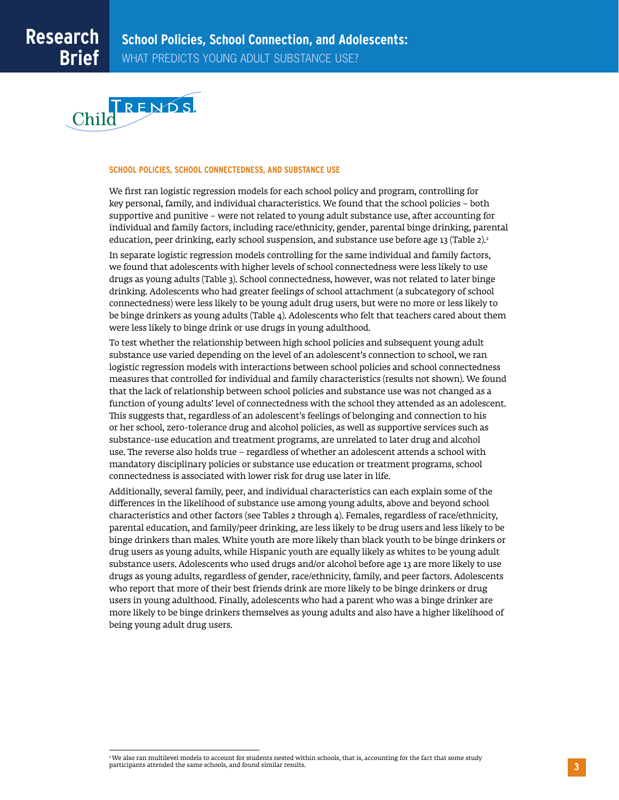

#### **SCHOOL POLICIES, SCHOOL CONNECTEDNESS, AND SUBSTANCE USE**

We first ran logistic regression models for each school policy and program, controlling for key personal, family, and individual characteristics. We found that the school policies – both supportive and punitive – were not related to young adult substance use, after accounting for individual and family factors, including race/ethnicity, gender, parental binge drinking, parental education, peer drinking, early school suspension, and substance use before age 13 (Table 2). $^{\rm 2}$ 

In separate logistic regression models controlling for the same individual and family factors, we found that adolescents with higher levels of school connectedness were less likely to use drugs as young adults (Table 3). School connectedness, however, was not related to later binge drinking. Adolescents who had greater feelings of school attachment (a subcategory of school connectedness) were less likely to be young adult drug users, but were no more or less likely to be binge drinkers as young adults (Table 4). Adolescents who felt that teachers cared about them were less likely to binge drink or use drugs in young adulthood.

To test whether the relationship between high school policies and subsequent young adult substance use varied depending on the level of an adolescent's connection to school, we ran logistic regression models with interactions between school policies and school connectedness measures that controlled for individual and family characteristics (results not shown). We found that the lack of relationship between school policies and substance use was not changed as a function of young adults' level of connectedness with the school they attended as an adolescent. This suggests that, regardless of an adolescent's feelings of belonging and connection to his or her school, zero-tolerance drug and alcohol policies, as well as supportive services such as substance-use education and treatment programs, are unrelated to later drug and alcohol use. The reverse also holds true – regardless of whether an adolescent attends a school with mandatory disciplinary policies or substance use education or treatment programs, school connectedness is associated with lower risk for drug use later in life.

Additionally, several family, peer, and individual characteristics can each explain some of the differences in the likelihood of substance use among young adults, above and beyond school characteristics and other factors (see Tables 2 through 4). Females, regardless of race/ethnicity, parental education, and family/peer drinking, are less likely to be drug users and less likely to be binge drinkers than males. White youth are more likely than black youth to be binge drinkers or drug users as young adults, while Hispanic youth are equally likely as whites to be young adult substance users. Adolescents who used drugs and/or alcohol before age 13 are more likely to use drugs as young adults, regardless of gender, race/ethnicity, family, and peer factors. Adolescents who report that more of their best friends drink are more likely to be binge drinkers or drug users in young adulthood. Finally, adolescents who had a parent who was a binge drinker are more likely to be binge drinkers themselves as young adults and also have a higher likelihood of being young adult drug users.

<sup>2</sup> We also ran multilevel models to account for students nested within schools, that is, accounting for the fact that some study participants attended the same schools, and found similar results.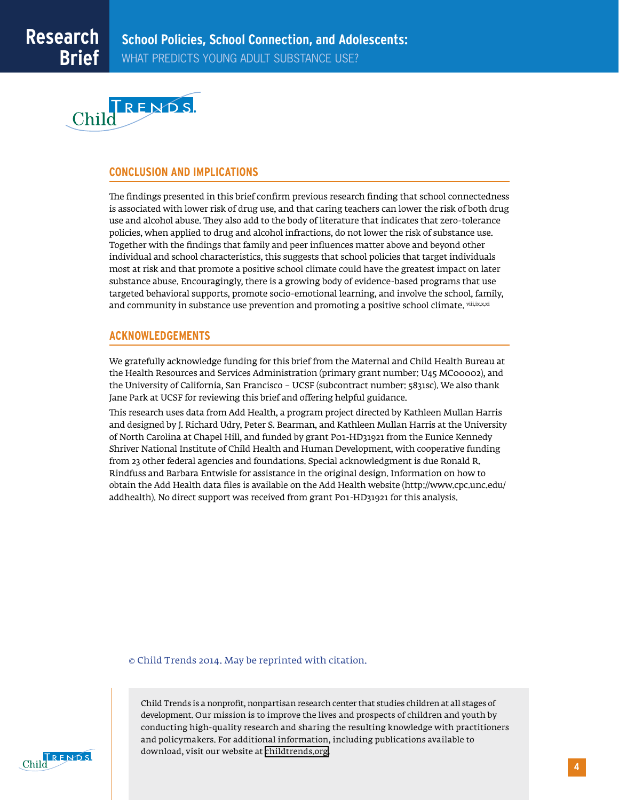

# **CONCLUSION AND IMPLICATIONS**

The findings presented in this brief confirm previous research finding that school connectedness is associated with lower risk of drug use, and that caring teachers can lower the risk of both drug use and alcohol abuse. They also add to the body of literature that indicates that zero-tolerance policies, when applied to drug and alcohol infractions, do not lower the risk of substance use. Together with the findings that family and peer influences matter above and beyond other individual and school characteristics, this suggests that school policies that target individuals most at risk and that promote a positive school climate could have the greatest impact on later substance abuse. Encouragingly, there is a growing body of evidence-based programs that use targeted behavioral supports, promote socio-emotional learning, and involve the school, family, and community in substance use prevention and promoting a positive school climate. viil, ix,x,xi

# **ACKNOWLEDGEMENTS**

We gratefully acknowledge funding for this brief from the Maternal and Child Health Bureau at the Health Resources and Services Administration (primary grant number: U45 MC00002), and the University of California, San Francisco – UCSF (subcontract number: 5831sc). We also thank Jane Park at UCSF for reviewing this brief and offering helpful guidance.

This research uses data from Add Health, a program project directed by Kathleen Mullan Harris and designed by J. Richard Udry, Peter S. Bearman, and Kathleen Mullan Harris at the University of North Carolina at Chapel Hill, and funded by grant P01-HD31921 from the Eunice Kennedy Shriver National Institute of Child Health and Human Development, with cooperative funding from 23 other federal agencies and foundations. Special acknowledgment is due Ronald R. Rindfuss and Barbara Entwisle for assistance in the original design. Information on how to obtain the Add Health data files is available on the Add Health website (http://www.cpc.unc.edu/ addhealth). No direct support was received from grant P01-HD31921 for this analysis.

© Child Trends 2014. May be reprinted with citation.

Child Trends is a nonprofit, nonpartisan research center that studies children at all stages of development. Our mission is to improve the lives and prospects of children and youth by conducting high-quality research and sharing the resulting knowledge with practitioners and policymakers. For additional information, including publications available to download, visit our website at [childtrends.org.](http://www.childrends.org)

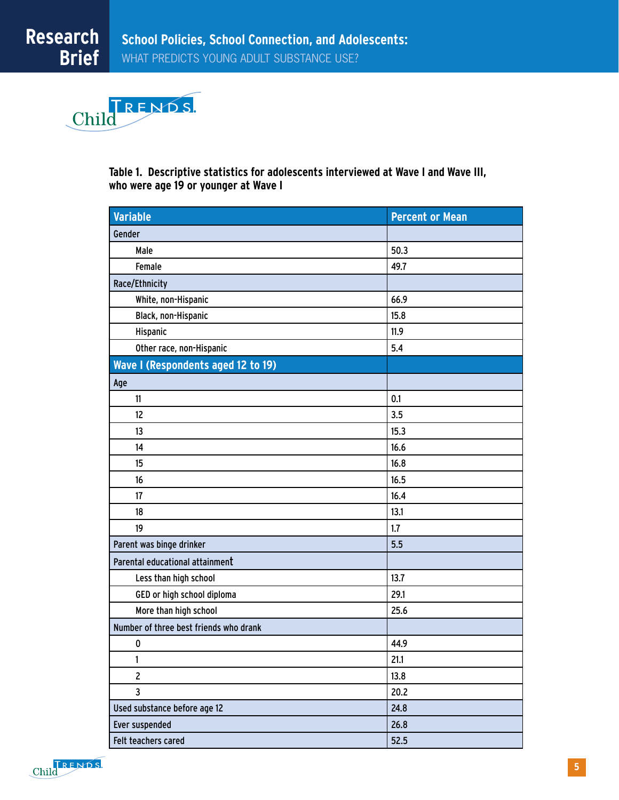

**Table 1. Descriptive statistics for adolescents interviewed at Wave I and Wave III, who were age 19 or younger at Wave I**

| <b>Variable</b>                        | <b>Percent or Mean</b> |
|----------------------------------------|------------------------|
| Gender                                 |                        |
| Male                                   | 50.3                   |
| Female                                 | 49.7                   |
| Race/Ethnicity                         |                        |
| White, non-Hispanic                    | 66.9                   |
| Black, non-Hispanic                    | 15.8                   |
| Hispanic                               | 11.9                   |
| Other race, non-Hispanic               | 5.4                    |
| Wave I (Respondents aged 12 to 19)     |                        |
| Age                                    |                        |
| 11                                     | 0.1                    |
| 12                                     | 3.5                    |
| 13                                     | 15.3                   |
| 14                                     | 16.6                   |
| 15                                     | 16.8                   |
| 16                                     | 16.5                   |
| 17                                     | 16.4                   |
| 18                                     | 13.1                   |
| 19                                     | 1.7                    |
| Parent was binge drinker               | 5.5                    |
| Parental educational attainment        |                        |
| Less than high school                  | 13.7                   |
| GED or high school diploma             | 29.1                   |
| More than high school                  | 25.6                   |
| Number of three best friends who drank |                        |
| 0                                      | 44.9                   |
| 1                                      | 21.1                   |
| $\overline{2}$                         | 13.8                   |
| 3                                      | 20.2                   |
| Used substance before age 12           | 24.8                   |
| Ever suspended                         | 26.8                   |
| Felt teachers cared                    | 52.5                   |

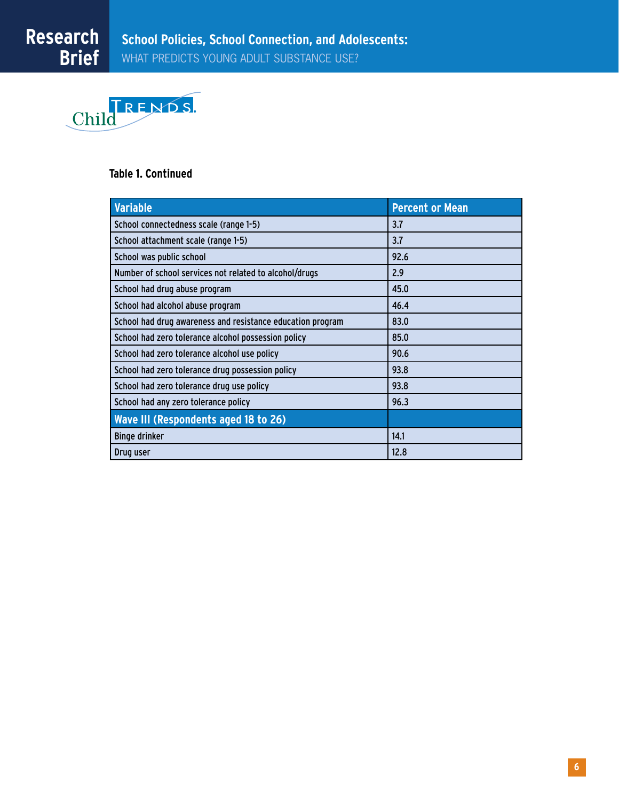

# **Table 1. Continued**

| Variable                                                   | <b>Percent or Mean</b> |
|------------------------------------------------------------|------------------------|
| School connectedness scale (range 1-5)                     | 3.7                    |
| School attachment scale (range 1-5)                        | 3.7                    |
| School was public school                                   | 92.6                   |
| Number of school services not related to alcohol/drugs     | 2.9                    |
| School had drug abuse program                              | 45.0                   |
| School had alcohol abuse program                           | 46.4                   |
| School had drug awareness and resistance education program | 83.0                   |
| School had zero tolerance alcohol possession policy        | 85.0                   |
| School had zero tolerance alcohol use policy               | 90.6                   |
| School had zero tolerance drug possession policy           | 93.8                   |
| School had zero tolerance drug use policy                  | 93.8                   |
| School had any zero tolerance policy                       | 96.3                   |
| Wave III (Respondents aged 18 to 26)                       |                        |
| <b>Binge drinker</b>                                       | 14.1                   |
| Drug user                                                  | 12.8                   |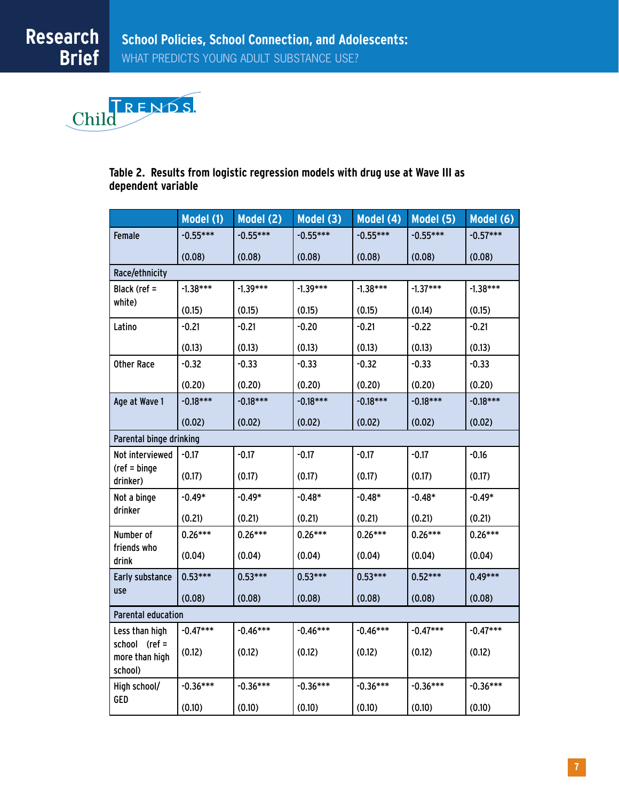

# **Table 2. Results from logistic regression models with drug use at Wave III as dependent variable**

|                                            | Model (1)  | Model (2)  | Model (3)  | Model (4)  | Model (5)  | Model (6)  |  |
|--------------------------------------------|------------|------------|------------|------------|------------|------------|--|
| <b>Female</b>                              | $-0.55***$ | $-0.55***$ | $-0.55***$ | $-0.55***$ | $-0.55***$ | $-0.57***$ |  |
|                                            | (0.08)     | (0.08)     | (0.08)     | (0.08)     | (0.08)     | (0.08)     |  |
| Race/ethnicity                             |            |            |            |            |            |            |  |
| Black (ref =                               | $-1.38***$ | $-1.39***$ | $-1.39***$ | $-1.38***$ | $-1.37***$ | $-1.38***$ |  |
| white)                                     | (0.15)     | (0.15)     | (0.15)     | (0.15)     | (0.14)     | (0.15)     |  |
| Latino                                     | $-0.21$    | $-0.21$    | $-0.20$    | $-0.21$    | $-0.22$    | $-0.21$    |  |
|                                            | (0.13)     | (0.13)     | (0.13)     | (0.13)     | (0.13)     | (0.13)     |  |
| <b>Other Race</b>                          | $-0.32$    | $-0.33$    | $-0.33$    | $-0.32$    | $-0.33$    | $-0.33$    |  |
|                                            | (0.20)     | (0.20)     | (0.20)     | (0.20)     | (0.20)     | (0.20)     |  |
| Age at Wave 1                              | $-0.18***$ | $-0.18***$ | $-0.18***$ | $-0.18***$ | $-0.18***$ | $-0.18***$ |  |
|                                            | (0.02)     | (0.02)     | (0.02)     | (0.02)     | (0.02)     | (0.02)     |  |
| Parental binge drinking                    |            |            |            |            |            |            |  |
| Not interviewed                            | $-0.17$    | $-0.17$    | $-0.17$    | $-0.17$    | $-0.17$    | $-0.16$    |  |
| $(ref = binge)$<br>drinker)                | (0.17)     | (0.17)     | (0.17)     | (0.17)     | (0.17)     | (0.17)     |  |
| Not a binge                                | $-0.49*$   | $-0.49*$   | $-0.48*$   | $-0.48*$   | $-0.48*$   | $-0.49*$   |  |
| drinker                                    | (0.21)     | (0.21)     | (0.21)     | (0.21)     | (0.21)     | (0.21)     |  |
| Number of                                  | $0.26***$  | $0.26***$  | $0.26***$  | $0.26***$  | $0.26***$  | $0.26***$  |  |
| friends who<br>drink                       | (0.04)     | (0.04)     | (0.04)     | (0.04)     | (0.04)     | (0.04)     |  |
| Early substance                            | $0.53***$  | $0.53***$  | $0.53***$  | $0.53***$  | $0.52***$  | $0.49***$  |  |
| use                                        | (0.08)     | (0.08)     | (0.08)     | (0.08)     | (0.08)     | (0.08)     |  |
| <b>Parental education</b>                  |            |            |            |            |            |            |  |
| Less than high                             | $-0.47***$ | $-0.46***$ | $-0.46***$ | $-0.46***$ | $-0.47***$ | $-0.47***$ |  |
| school (ref =<br>more than high<br>school) | (0.12)     | (0.12)     | (0.12)     | (0.12)     | (0.12)     | (0.12)     |  |
| High school/                               | $-0.36***$ | $-0.36***$ | $-0.36***$ | $-0.36***$ | $-0.36***$ | $-0.36***$ |  |
| GED                                        | (0.10)     | (0.10)     | (0.10)     | (0.10)     | (0.10)     | (0.10)     |  |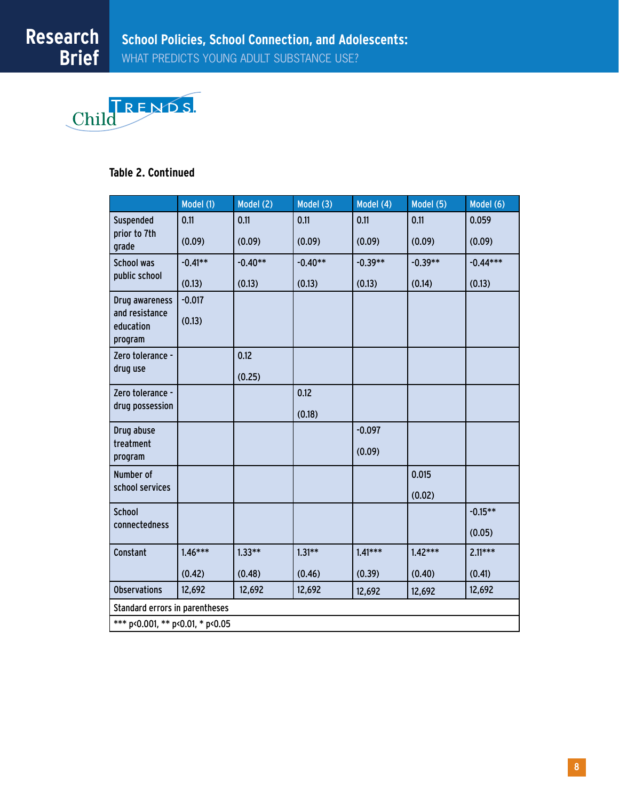

# **Table 2. Continued**

|                                        | Model (1) | Model (2) | Model (3) | Model (4) | Model (5) | Model (6)  |
|----------------------------------------|-----------|-----------|-----------|-----------|-----------|------------|
| Suspended                              | 0.11      | 0.11      | 0.11      | 0.11      | 0.11      | 0.059      |
| prior to 7th<br>grade                  | (0.09)    | (0.09)    | (0.09)    | (0.09)    | (0.09)    | (0.09)     |
| School was                             | $-0.41**$ | $-0.40**$ | $-0.40**$ | $-0.39**$ | $-0.39**$ | $-0.44***$ |
| public school                          | (0.13)    | (0.13)    | (0.13)    | (0.13)    | (0.14)    | (0.13)     |
| Drug awareness                         | $-0.017$  |           |           |           |           |            |
| and resistance<br>education<br>program | (0.13)    |           |           |           |           |            |
| Zero tolerance -                       |           | 0.12      |           |           |           |            |
| drug use                               |           | (0.25)    |           |           |           |            |
| Zero tolerance -                       |           |           | 0.12      |           |           |            |
| drug possession                        |           |           | (0.18)    |           |           |            |
| Drug abuse                             |           |           |           | $-0.097$  |           |            |
| treatment<br>program                   |           |           |           | (0.09)    |           |            |
| Number of                              |           |           |           |           | 0.015     |            |
| school services                        |           |           |           |           | (0.02)    |            |
| <b>School</b>                          |           |           |           |           |           | $-0.15**$  |
| connectedness                          |           |           |           |           |           | (0.05)     |
| Constant                               | $1.46***$ | $1.33**$  | $1.31**$  | $1.41***$ | $1.42***$ | $2.11***$  |
|                                        | (0.42)    | (0.48)    | (0.46)    | (0.39)    | (0.40)    | (0.41)     |
| <b>Observations</b>                    | 12,692    | 12,692    | 12,692    | 12,692    | 12,692    | 12,692     |
| Standard errors in parentheses         |           |           |           |           |           |            |
| *** p<0.001, ** p<0.01, * p<0.05       |           |           |           |           |           |            |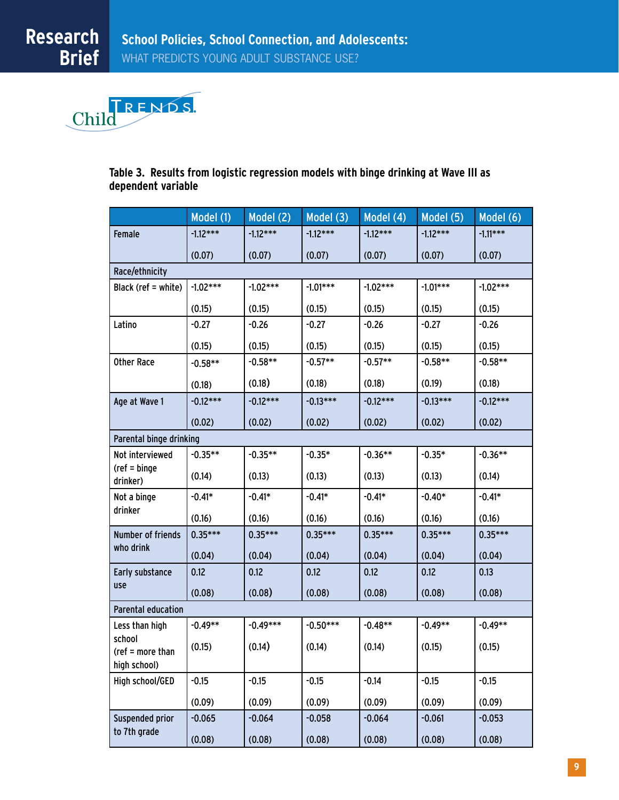

# **Table 3. Results from logistic regression models with binge drinking at Wave III as dependent variable**

|                             | Model (1)  | Model (2)  | Model (3)  | Model $(4)$ | Model $(5)$ | Model (6)  |  |  |
|-----------------------------|------------|------------|------------|-------------|-------------|------------|--|--|
| Female                      | $-1.12***$ | $-1.12***$ | $-1.12***$ | $-1.12***$  | $-1.12***$  | $-1.11***$ |  |  |
|                             | (0.07)     | (0.07)     | (0.07)     | (0.07)      | (0.07)      | (0.07)     |  |  |
| Race/ethnicity              |            |            |            |             |             |            |  |  |
| Black (ref = white)         | $-1.02***$ | $-1.02***$ | $-1.01***$ | $-1.02***$  | $-1.01***$  | $-1.02***$ |  |  |
|                             | (0.15)     | (0.15)     | (0.15)     | (0.15)      | (0.15)      | (0.15)     |  |  |
| Latino                      | $-0.27$    | $-0.26$    | $-0.27$    | $-0.26$     | $-0.27$     | $-0.26$    |  |  |
|                             | (0.15)     | (0.15)     | (0.15)     | (0.15)      | (0.15)      | (0.15)     |  |  |
| <b>Other Race</b>           | $-0.58**$  | $-0.58**$  | $-0.57**$  | $-0.57**$   | $-0.58**$   | $-0.58**$  |  |  |
|                             | (0.18)     | (0.18)     | (0.18)     | (0.18)      | (0.19)      | (0.18)     |  |  |
| Age at Wave 1               | $-0.12***$ | $-0.12***$ | $-0.13***$ | $-0.12***$  | $-0.13***$  | $-0.12***$ |  |  |
|                             | (0.02)     | (0.02)     | (0.02)     | (0.02)      | (0.02)      | (0.02)     |  |  |
| Parental binge drinking     |            |            |            |             |             |            |  |  |
| Not interviewed             | $-0.35**$  | $-0.35**$  | $-0.35*$   | $-0.36**$   | $-0.35*$    | $-0.36**$  |  |  |
| $(ref = binge)$<br>drinker) | (0.14)     | (0.13)     | (0.13)     | (0.13)      | (0.13)      | (0.14)     |  |  |
| Not a binge                 | $-0.41*$   | $-0.41*$   | $-0.41*$   | $-0.41*$    | $-0.40*$    | $-0.41*$   |  |  |
| drinker                     | (0.16)     | (0.16)     | (0.16)     | (0.16)      | (0.16)      | (0.16)     |  |  |
| Number of friends           | $0.35***$  | $0.35***$  | $0.35***$  | $0.35***$   | $0.35***$   | $0.35***$  |  |  |
| who drink                   | (0.04)     | (0.04)     | (0.04)     | (0.04)      | (0.04)      | (0.04)     |  |  |
| Early substance             | 0.12       | 0.12       | 0.12       | 0.12        | 0.12        | 0.13       |  |  |
| use                         | (0.08)     | (0.08)     | (0.08)     | (0.08)      | (0.08)      | (0.08)     |  |  |
| <b>Parental education</b>   |            |            |            |             |             |            |  |  |
| Less than high              | $-0.49**$  | $-0.49***$ | $-0.50***$ | $-0.48**$   | $-0.49**$   | $-0.49**$  |  |  |
| school<br>(ref = more than  | (0.15)     | (0.14)     | (0.14)     | (0.14)      | (0.15)      | (0.15)     |  |  |
| high school)                |            |            |            |             |             |            |  |  |
| High school/GED             | $-0.15$    | $-0.15$    | $-0.15$    | $-0.14$     | $-0.15$     | $-0.15$    |  |  |
|                             | (0.09)     | (0.09)     | (0.09)     | (0.09)      | (0.09)      | (0.09)     |  |  |
| Suspended prior             | $-0.065$   | $-0.064$   | $-0.058$   | $-0.064$    | $-0.061$    | $-0.053$   |  |  |
| to 7th grade                | (0.08)     | (0.08)     | (0.08)     | (0.08)      | (0.08)      | (0.08)     |  |  |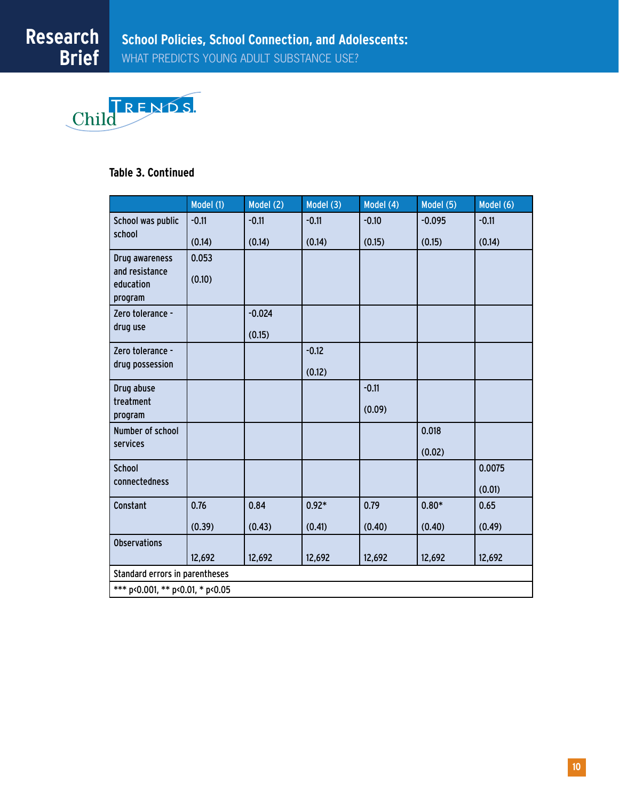

# **Table 3. Continued**

|                                  | Model (1) | Model (2) | Model (3) | Model (4) | Model (5) | Model (6) |  |
|----------------------------------|-----------|-----------|-----------|-----------|-----------|-----------|--|
| School was public                | $-0.11$   | $-0.11$   | $-0.11$   | $-0.10$   | $-0.095$  | $-0.11$   |  |
| school                           | (0.14)    | (0.14)    | (0.14)    | (0.15)    | (0.15)    | (0.14)    |  |
| Drug awareness                   | 0.053     |           |           |           |           |           |  |
| and resistance<br>education      | (0.10)    |           |           |           |           |           |  |
| program                          |           |           |           |           |           |           |  |
| Zero tolerance -                 |           | $-0.024$  |           |           |           |           |  |
| drug use                         |           | (0.15)    |           |           |           |           |  |
| Zero tolerance -                 |           |           | $-0.12$   |           |           |           |  |
| drug possession                  |           |           | (0.12)    |           |           |           |  |
| Drug abuse                       |           |           |           | $-0.11$   |           |           |  |
| treatment<br>program             |           |           |           | (0.09)    |           |           |  |
| Number of school                 |           |           |           |           | 0.018     |           |  |
| services                         |           |           |           |           | (0.02)    |           |  |
| <b>School</b>                    |           |           |           |           |           | 0.0075    |  |
| connectedness                    |           |           |           |           |           | (0.01)    |  |
| Constant                         | 0.76      | 0.84      | $0.92*$   | 0.79      | $0.80*$   | 0.65      |  |
|                                  | (0.39)    | (0.43)    | (0.41)    | (0.40)    | (0.40)    | (0.49)    |  |
| <b>Observations</b>              |           |           |           |           |           |           |  |
|                                  | 12,692    | 12,692    | 12,692    | 12,692    | 12,692    | 12,692    |  |
| Standard errors in parentheses   |           |           |           |           |           |           |  |
| *** p<0.001, ** p<0.01, * p<0.05 |           |           |           |           |           |           |  |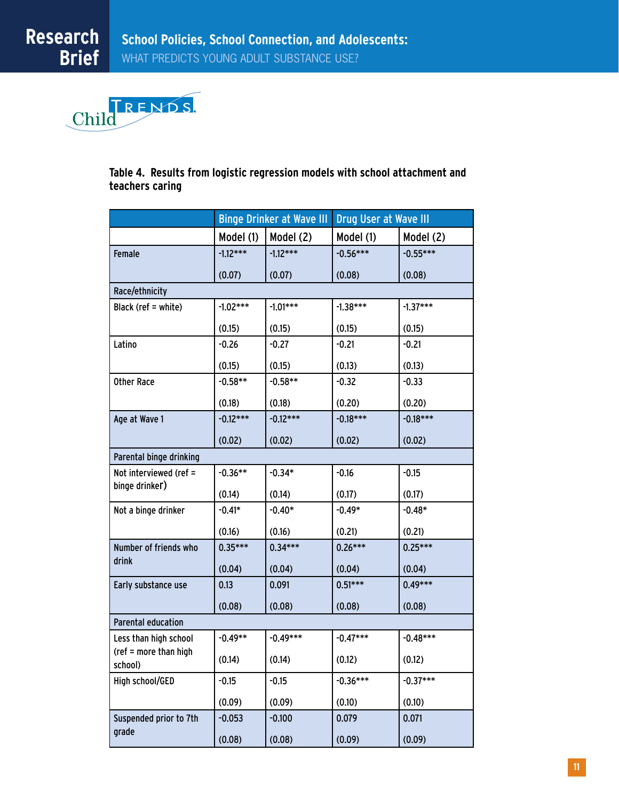

**Table 4. Results from logistic regression models with school attachment and teachers caring**

|                                  | <b>Binge Drinker at Wave III</b> |            | Drug User at Wave III |            |  |  |  |
|----------------------------------|----------------------------------|------------|-----------------------|------------|--|--|--|
|                                  | Model (1)                        | Model (2)  | Model (1)             | Model (2)  |  |  |  |
| Female                           | $-1.12***$                       | $-1.12***$ | $-0.56***$            | $-0.55***$ |  |  |  |
|                                  | (0.07)                           | (0.07)     | (0.08)                | (0.08)     |  |  |  |
| Race/ethnicity                   |                                  |            |                       |            |  |  |  |
| Black (ref = white)              | $-1.02***$                       | $-1.01***$ | $-1.38***$            | $-1.37***$ |  |  |  |
|                                  | (0.15)                           | (0.15)     | (0.15)                | (0.15)     |  |  |  |
| Latino                           | $-0.26$                          | $-0.27$    | $-0.21$               | $-0.21$    |  |  |  |
|                                  | (0.15)                           | (0.15)     | (0.13)                | (0.13)     |  |  |  |
| <b>Other Race</b>                | $-0.58**$                        | $-0.58**$  | $-0.32$               | $-0.33$    |  |  |  |
|                                  | (0.18)                           | (0.18)     | (0.20)                | (0.20)     |  |  |  |
| Age at Wave 1                    | $-0.12***$                       | $-0.12***$ | $-0.18***$            | $-0.18***$ |  |  |  |
|                                  | (0.02)                           | (0.02)     | (0.02)                | (0.02)     |  |  |  |
| Parental binge drinking          |                                  |            |                       |            |  |  |  |
| Not interviewed (ref =           | $-0.36**$                        | $-0.34*$   | $-0.16$               | $-0.15$    |  |  |  |
| binge drinker)                   | (0.14)                           | (0.14)     | (0.17)                | (0.17)     |  |  |  |
| Not a binge drinker              | $-0.41*$                         | $-0.40*$   | $-0.49*$              | $-0.48*$   |  |  |  |
|                                  | (0.16)                           | (0.16)     | (0.21)                | (0.21)     |  |  |  |
| Number of friends who            | $0.35***$                        | $0.34***$  | $0.26***$             | $0.25***$  |  |  |  |
| drink                            | (0.04)                           | (0.04)     | (0.04)                | (0.04)     |  |  |  |
| Early substance use              | 0.13                             | 0.091      | $0.51***$             | $0.49***$  |  |  |  |
|                                  | (0.08)                           | (0.08)     | (0.08)                | (0.08)     |  |  |  |
| Parental education               |                                  |            |                       |            |  |  |  |
| Less than high school            | $-0.49**$                        | $-0.49***$ | $-0.47***$            | $-0.48***$ |  |  |  |
| (ref = more than high<br>school) | (0.14)                           | (0.14)     | (0.12)                | (0.12)     |  |  |  |
| High school/GED                  | $-0.15$                          | $-0.15$    | $-0.36***$            | $-0.37***$ |  |  |  |
|                                  | (0.09)                           | (0.09)     | (0.10)                | (0.10)     |  |  |  |
| Suspended prior to 7th           | $-0.053$                         | $-0.100$   | 0.079                 | 0.071      |  |  |  |
| grade                            | (0.08)                           | (0.08)     | (0.09)                | (0.09)     |  |  |  |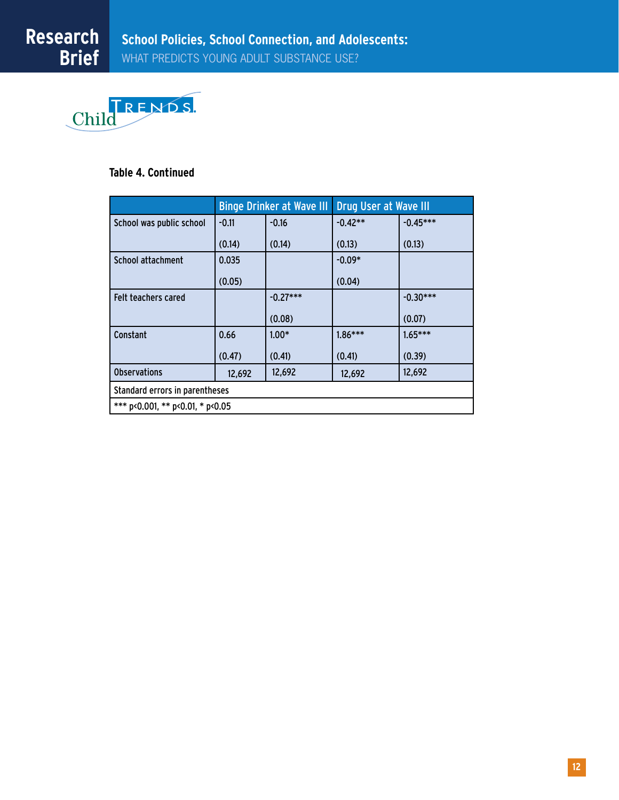

# **Table 4. Continued**

|                                  | <b>Binge Drinker at Wave III</b> |            | Drug User at Wave III |            |  |  |  |
|----------------------------------|----------------------------------|------------|-----------------------|------------|--|--|--|
| School was public school         | $-0.11$                          | $-0.16$    | $-0.42**$             | $-0.45***$ |  |  |  |
|                                  | (0.14)                           | (0.14)     | (0.13)                | (0.13)     |  |  |  |
| School attachment                | 0.035                            |            | $-0.09*$              |            |  |  |  |
|                                  | (0.05)                           |            | (0.04)                |            |  |  |  |
| <b>Felt teachers cared</b>       |                                  | $-0.27***$ |                       | $-0.30***$ |  |  |  |
|                                  |                                  | (0.08)     |                       | (0.07)     |  |  |  |
| <b>Constant</b>                  | 0.66                             | $1.00*$    | $1.86***$             | $1.65***$  |  |  |  |
|                                  | (0.47)                           | (0.41)     | (0.41)                | (0.39)     |  |  |  |
| <b>Observations</b>              | 12,692                           | 12,692     | 12,692                | 12,692     |  |  |  |
| Standard errors in parentheses   |                                  |            |                       |            |  |  |  |
| *** p<0.001, ** p<0.01, * p<0.05 |                                  |            |                       |            |  |  |  |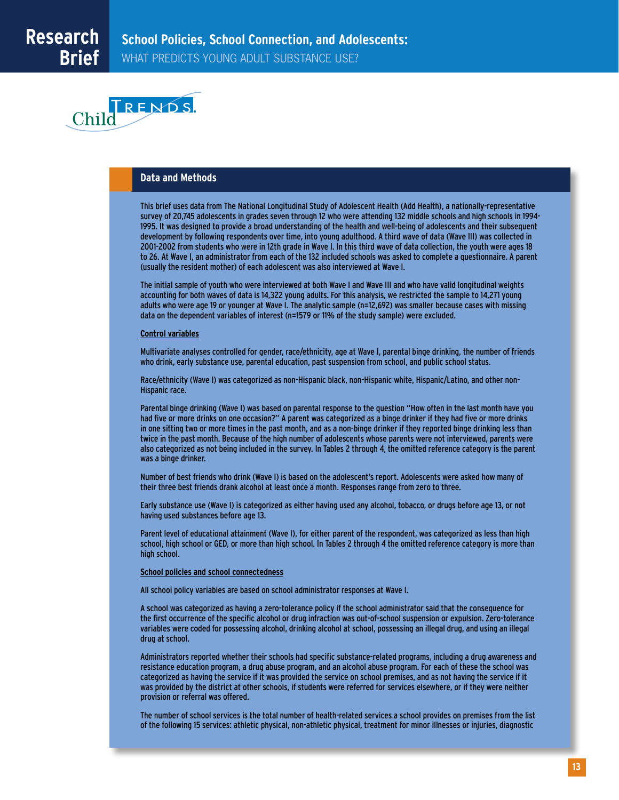

#### **Data and Methods**

This brief uses data from The National Longitudinal Study of Adolescent Health (Add Health), a nationally-representative survey of 20,745 adolescents in grades seven through 12 who were attending 132 middle schools and high schools in 1994- 1995. It was designed to provide a broad understanding of the health and well-being of adolescents and their subsequent development by following respondents over time, into young adulthood. A third wave of data (Wave III) was collected in 2001-2002 from students who were in 12th grade in Wave I. In this third wave of data collection, the youth were ages 18 to 26. At Wave I, an administrator from each of the 132 included schools was asked to complete a questionnaire. A parent (usually the resident mother) of each adolescent was also interviewed at Wave I.

The initial sample of youth who were interviewed at both Wave I and Wave III and who have valid longitudinal weights accounting for both waves of data is 14,322 young adults. For this analysis, we restricted the sample to 14,271 young adults who were age 19 or younger at Wave I. The analytic sample (n=12,692) was smaller because cases with missing data on the dependent variables of interest (n=1579 or 11% of the study sample) were excluded.

#### **Control variables**

Multivariate analyses controlled for gender, race/ethnicity, age at Wave I, parental binge drinking, the number of friends who drink, early substance use, parental education, past suspension from school, and public school status.

Race/ethnicity (Wave I) was categorized as non-Hispanic black, non-Hispanic white, Hispanic/Latino, and other non-Hispanic race.

Parental binge drinking (Wave I) was based on parental response to the question "How often in the last month have you had five or more drinks on one occasion?" A parent was categorized as a binge drinker if they had five or more drinks in one sitting two or more times in the past month, and as a non-binge drinker if they reported binge drinking less than twice in the past month. Because of the high number of adolescents whose parents were not interviewed, parents were also categorized as not being included in the survey. In Tables 2 through 4, the omitted reference category is the parent was a binge drinker.

Number of best friends who drink (Wave I) is based on the adolescent's report. Adolescents were asked how many of their three best friends drank alcohol at least once a month. Responses range from zero to three.

Early substance use (Wave I) is categorized as either having used any alcohol, tobacco, or drugs before age 13, or not having used substances before age 13.

Parent level of educational attainment (Wave I), for either parent of the respondent, was categorized as less than high school, high school or GED, or more than high school. In Tables 2 through 4 the omitted reference category is more than high school.

#### **School policies and school connectedness**

All school policy variables are based on school administrator responses at Wave I.

A school was categorized as having a zero-tolerance policy if the school administrator said that the consequence for the first occurrence of the specific alcohol or drug infraction was out-of-school suspension or expulsion. Zero-tolerance variables were coded for possessing alcohol, drinking alcohol at school, possessing an illegal drug, and using an illegal drug at school.

Administrators reported whether their schools had specific substance-related programs, including a drug awareness and resistance education program, a drug abuse program, and an alcohol abuse program. For each of these the school was categorized as having the service if it was provided the service on school premises, and as not having the service if it was provided by the district at other schools, if students were referred for services elsewhere, or if they were neither provision or referral was offered.

The number of school services is the total number of health-related services a school provides on premises from the list of the following 15 services: athletic physical, non-athletic physical, treatment for minor illnesses or injuries, diagnostic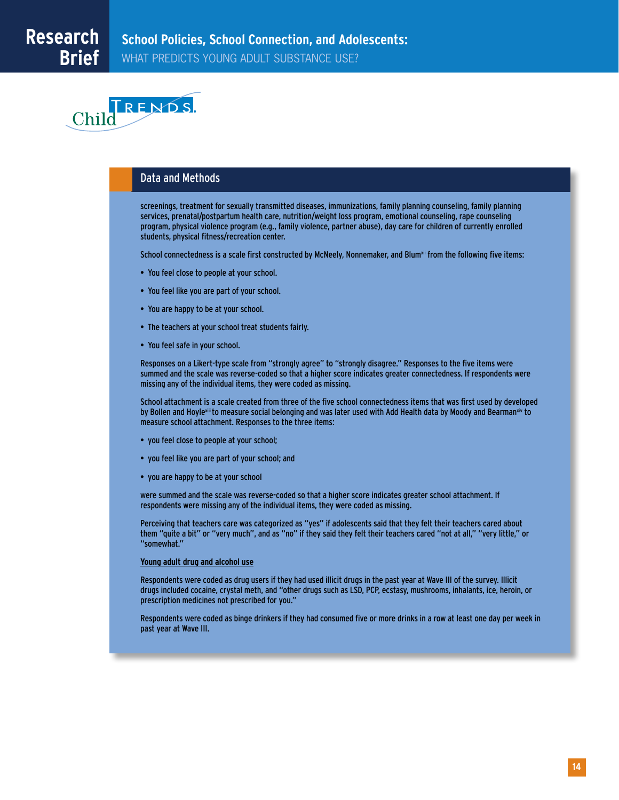

# Data and Methods

screenings, treatment for sexually transmitted diseases, immunizations, family planning counseling, family planning services, prenatal/postpartum health care, nutrition/weight loss program, emotional counseling, rape counseling program, physical violence program (e.g., family violence, partner abuse), day care for children of currently enrolled students, physical fitness/recreation center.

School connectedness is a scale first constructed by McNeely, Nonnemaker, and Blum<sup>xii</sup> from the following five items:

- You feel close to people at your school.
- You feel like you are part of your school.
- You are happy to be at your school.
- The teachers at your school treat students fairly.
- You feel safe in your school.

Responses on a Likert-type scale from "strongly agree" to "strongly disagree." Responses to the five items were summed and the scale was reverse-coded so that a higher score indicates greater connectedness. If respondents were missing any of the individual items, they were coded as missing.

School attachment is a scale created from three of the five school connectedness items that was first used by developed by Bollen and Hoylexiii to measure social belonging and was later used with Add Health data by Moody and Bearmanxiv to measure school attachment. Responses to the three items:

- you feel close to people at your school;
- you feel like you are part of your school; and
- you are happy to be at your school

were summed and the scale was reverse-coded so that a higher score indicates greater school attachment. If respondents were missing any of the individual items, they were coded as missing.

Perceiving that teachers care was categorized as "yes" if adolescents said that they felt their teachers cared about them "quite a bit" or "very much", and as "no" if they said they felt their teachers cared "not at all," "very little," or "somewhat."

#### **Young adult drug and alcohol use**

Respondents were coded as drug users if they had used illicit drugs in the past year at Wave III of the survey. Illicit drugs included cocaine, crystal meth, and "other drugs such as LSD, PCP, ecstasy, mushrooms, inhalants, ice, heroin, or prescription medicines not prescribed for you."

Respondents were coded as binge drinkers if they had consumed five or more drinks in a row at least one day per week in past year at Wave III.